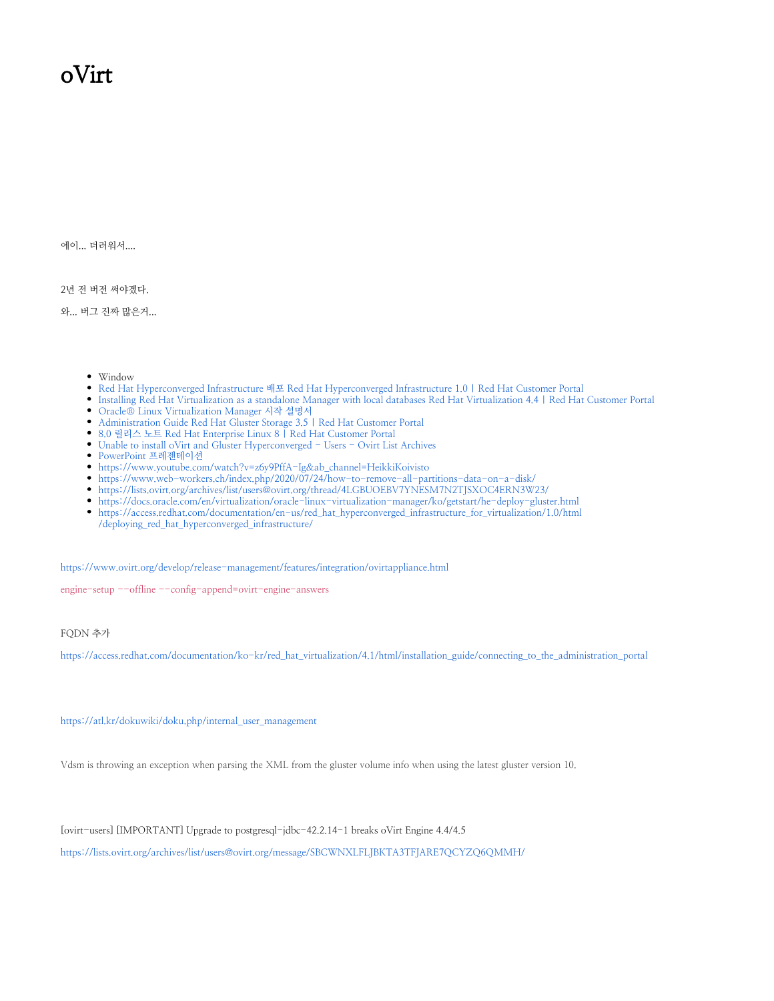## oVirt

에이... 더러워서....

2년 전 버전 써야겠다.

와... 버그 진짜 많은거...

- Window
- [Red Hat Hyperconverged Infrastructure 배포 Red Hat Hyperconverged Infrastructure 1.0 | Red Hat Customer Portal](https://access.redhat.com/documentation/ko-kr/red_hat_hyperconverged_infrastructure_for_virtualization/1.0/html/deploying_red_hat_hyperconverged_infrastructure/index)
- [Installing Red Hat Virtualization as a standalone Manager with local databases Red Hat Virtualization 4.4 | Red Hat Customer Portal](https://access.redhat.com/documentation/en-us/red_hat_virtualization/4.4/html/installing_red_hat_virtualization_as_a_standalone_manager_with_local_databases/index) [Oracle® Linux Virtualization Manager 시작 설명서](https://docs.oracle.com/en/virtualization/oracle-linux-virtualization-manager/ko/getstart/index.html)
- [Administration Guide Red Hat Gluster Storage 3.5 | Red Hat Customer Portal](https://access.redhat.com/documentation/en-us/red_hat_gluster_storage/3.5/html/administration_guide/index)
- [8.0 릴리스 노트 Red Hat Enterprise Linux 8 | Red Hat Customer Portal](https://access.redhat.com/documentation/ko-kr/red_hat_enterprise_linux/8/html/8.0_release_notes/index)
- [Unable to install oVirt and Gluster Hyperconverged Users Ovirt List Archives](https://lists.ovirt.org/archives/list/users@ovirt.org/thread/ZF326FJ3OUWZ6T6GUHJATBRJCIXFDB2N/)
- [PowerPoint 프레젠테이션](https://www.oss.kr/storage/app/public/oss/bb/13/007_[GlusterFS]%20Solution%20Guide%20V0.4_20181203.pdf)
- [https://www.youtube.com/watch?v=z6y9PffA-Ig&ab\\_channel=HeikkiKoivisto](https://www.youtube.com/watch?v=z6y9PffA-Ig&ab_channel=HeikkiKoivisto)
- <https://www.web-workers.ch/index.php/2020/07/24/how-to-remove-all-partitions-data-on-a-disk/>
- <https://lists.ovirt.org/archives/list/users@ovirt.org/thread/4LGBUOEBV7YNESM7N2TJSXOC4ERN3W23/>
- <https://docs.oracle.com/en/virtualization/oracle-linux-virtualization-manager/ko/getstart/he-deploy-gluster.html>
- [https://access.redhat.com/documentation/en-us/red\\_hat\\_hyperconverged\\_infrastructure\\_for\\_virtualization/1.0/html](https://access.redhat.com/documentation/en-us/red_hat_hyperconverged_infrastructure_for_virtualization/1.0/html/deploying_red_hat_hyperconverged_infrastructure/) [/deploying\\_red\\_hat\\_hyperconverged\\_infrastructure/](https://access.redhat.com/documentation/en-us/red_hat_hyperconverged_infrastructure_for_virtualization/1.0/html/deploying_red_hat_hyperconverged_infrastructure/)

<https://www.ovirt.org/develop/release-management/features/integration/ovirtappliance.html>

engine-setup --offline --config-append=ovirt-engine-answers

## FQDN 추가

[https://access.redhat.com/documentation/ko-kr/red\\_hat\\_virtualization/4.1/html/installation\\_guide/connecting\\_to\\_the\\_administration\\_portal](https://access.redhat.com/documentation/ko-kr/red_hat_virtualization/4.1/html/installation_guide/connecting_to_the_administration_portal)

[https://atl.kr/dokuwiki/doku.php/internal\\_user\\_management](https://atl.kr/dokuwiki/doku.php/internal_user_management)

Vdsm is throwing an exception when parsing the XML from the gluster volume info when using the latest gluster version 10.

[ovirt-users] [IMPORTANT] Upgrade to postgresql-jdbc-42.2.14-1 breaks oVirt Engine 4.4/4.5

<https://lists.ovirt.org/archives/list/users@ovirt.org/message/SBCWNXLFLJBKTA3TFJARE7QCYZQ6QMMH/>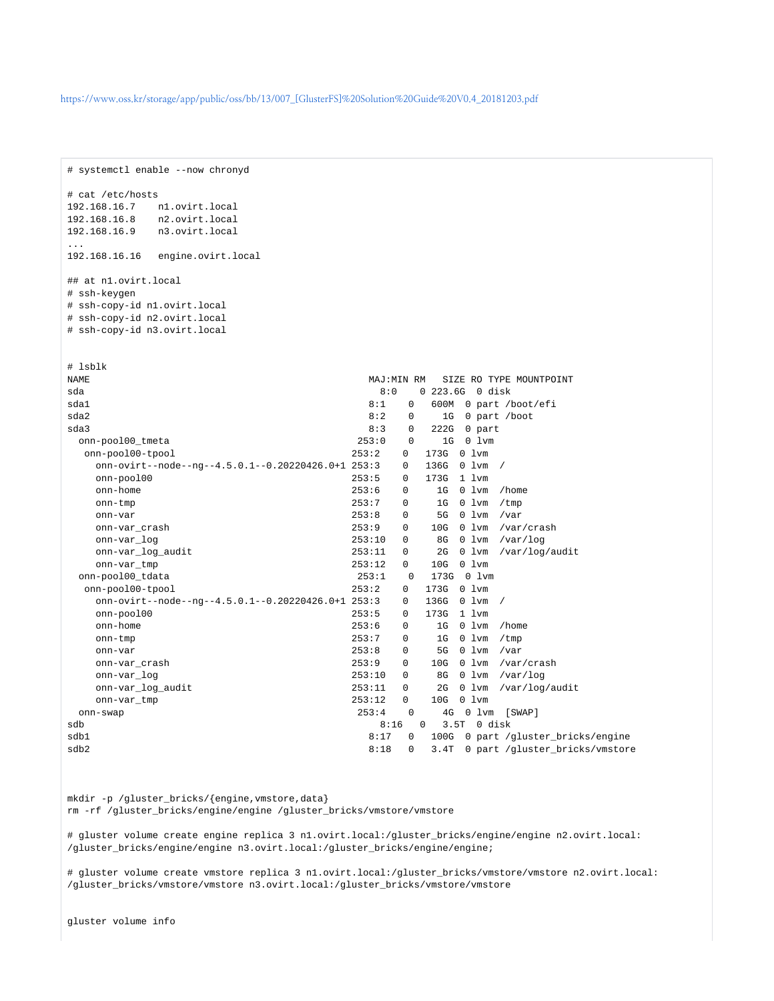```
# systemctl enable --now chronyd
# cat /etc/hosts
192.168.16.7 n1.ovirt.local
192.168.16.8 n2.ovirt.local
192.168.16.9 n3.ovirt.local
...
192.168.16.16 engine.ovirt.local
## at n1.ovirt.local
# ssh-keygen
# ssh-copy-id n1.ovirt.local
# ssh-copy-id n2.ovirt.local
# ssh-copy-id n3.ovirt.local
# lsblk
NAME MAJ:MIN RM SIZE RO TYPE MOUNTPOINT
sda 8:0 0 223.6G 0 disk
sda1 8:1 0 600M 0 part /boot/efi
sda2 8:2 0 1G 0 part /boot
sda3 8:3 0 222G 0 part
  onn-pool00_tmeta 253:0 0 1G 0 lvm
  onn-pool00-tpool 253:2 0 173G 0 lvm
  onn-ovirt--node--ng--4.5.0.1--0.20220426.0+1 253:3 0 onn-pool00 253:5 0 173G 1 lvm
   onn-home 253:6 0 1G 0 lvm /home
   onn-tmp 253:7 0 1G 0 lvm /tmp
   onn-var 253:8 0 5G 0 lvm /var
   onn-var_crash 253:9 0 10G 0 lvm /var/crash
   onn-var_log 253:10 0 8G 0 lvm /var/log
   onn-var_log_audit 253:11 0 2G 0 lvm /var/log/audit
   onn-var_tmp 253:12 0 10G 0 lvm
  onn-pool00_tdata 253:1 0 173G 0 lvm
  onn-pool00-tpool 253:2 0 173G 0 lvm
  onn-ovirt--node--ng--4.5.0.1--0.20220426.0+1.253:3 onn-pool00 253:5 0 173G 1 lvm
  onn-home 253:6 0 1G 0 lvm /home 253:7 0 1G 0 lvm /tmp 253:7 0 1G 0 lvm /tmp
   onn-tmp 253:7 0 1G 0 lvm /tmp
   onn-var 253:8 0 5G 0 lvm /var
   onn-var_crash 253:9 0 10G 0 lvm /var/crash
   onn-var_log 253:10 0 8G 0 lvm /var/log
   onn-var_log_audit 253:11 0 2G 0 lvm /var/log/audit
   onn-var_tmp 253:12 0 10G 0 lvm
  onn-swap 253:4 0 4G 0 lvm [SWAP]
sdb 8:16 0 3.5T 0 disk
sdb1 8:17 0 100G 0 part /gluster_bricks/engine
sdb2 8:18 0 3.4T 0 part /gluster_bricks/vmstore<br/> 8:18 0 3.4T 0 part /gluster_bricks/vmstore<br/> \,
```
mkdir -p /gluster\_bricks/{engine,vmstore,data} rm -rf /gluster\_bricks/engine/engine /gluster\_bricks/vmstore/vmstore

# gluster volume create engine replica 3 n1.ovirt.local:/gluster\_bricks/engine/engine n2.ovirt.local: /gluster\_bricks/engine/engine n3.ovirt.local:/gluster\_bricks/engine/engine;

# gluster volume create vmstore replica 3 n1.ovirt.local:/gluster\_bricks/vmstore/vmstore n2.ovirt.local: /gluster\_bricks/vmstore/vmstore n3.ovirt.local:/gluster\_bricks/vmstore/vmstore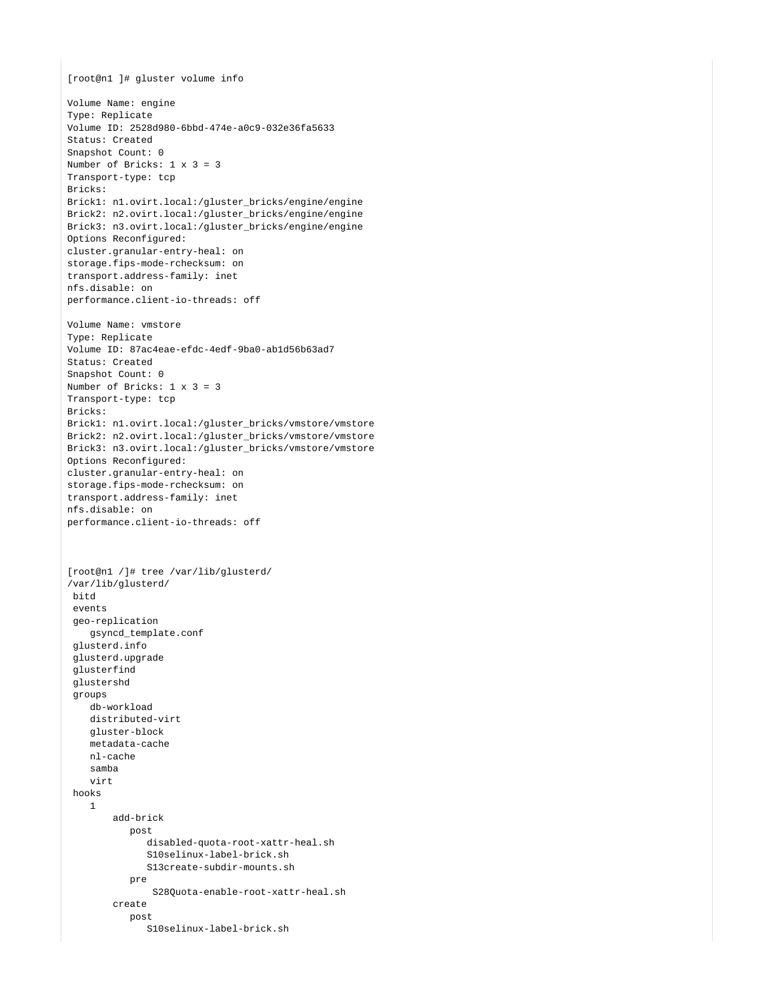```
[root@n1 ]# gluster volume info
Volume Name: engine
Type: Replicate
Volume ID: 2528d980-6bbd-474e-a0c9-032e36fa5633
Status: Created
Snapshot Count: 0
Number of Bricks: 1 x 3 = 3
Transport-type: tcp
Bricks:
Brick1: n1.ovirt.local:/gluster_bricks/engine/engine
Brick2: n2.ovirt.local:/gluster_bricks/engine/engine
Brick3: n3.ovirt.local:/gluster_bricks/engine/engine
Options Reconfigured:
cluster.granular-entry-heal: on
storage.fips-mode-rchecksum: on
transport.address-family: inet
nfs.disable: on
performance.client-io-threads: off
Volume Name: vmstore
Type: Replicate
Volume ID: 87ac4eae-efdc-4edf-9ba0-ab1d56b63ad7
Status: Created
Snapshot Count: 0
Number of Bricks: 1 x 3 = 3
Transport-type: tcp
Bricks:
Brick1: n1.ovirt.local:/gluster_bricks/vmstore/vmstore
Brick2: n2.ovirt.local:/gluster_bricks/vmstore/vmstore
Brick3: n3.ovirt.local:/gluster_bricks/vmstore/vmstore
Options Reconfigured:
cluster.granular-entry-heal: on
storage.fips-mode-rchecksum: on
transport.address-family: inet
nfs.disable: on
performance.client-io-threads: off
[root@n1 /]# tree /var/lib/glusterd/
/var/lib/glusterd/
 bitd
  events
  geo-replication
     gsyncd_template.conf
  glusterd.info
  glusterd.upgrade
  glusterfind
  glustershd
  groups
    db-workload
    distributed-virt
    gluster-block
    metadata-cache
    nl-cache
    samba
     virt
  hooks
    1
         add-brick
            post
               disabled-quota-root-xattr-heal.sh
               S10selinux-label-brick.sh
               S13create-subdir-mounts.sh
            pre
                S28Quota-enable-root-xattr-heal.sh
         create
            post
               S10selinux-label-brick.sh
```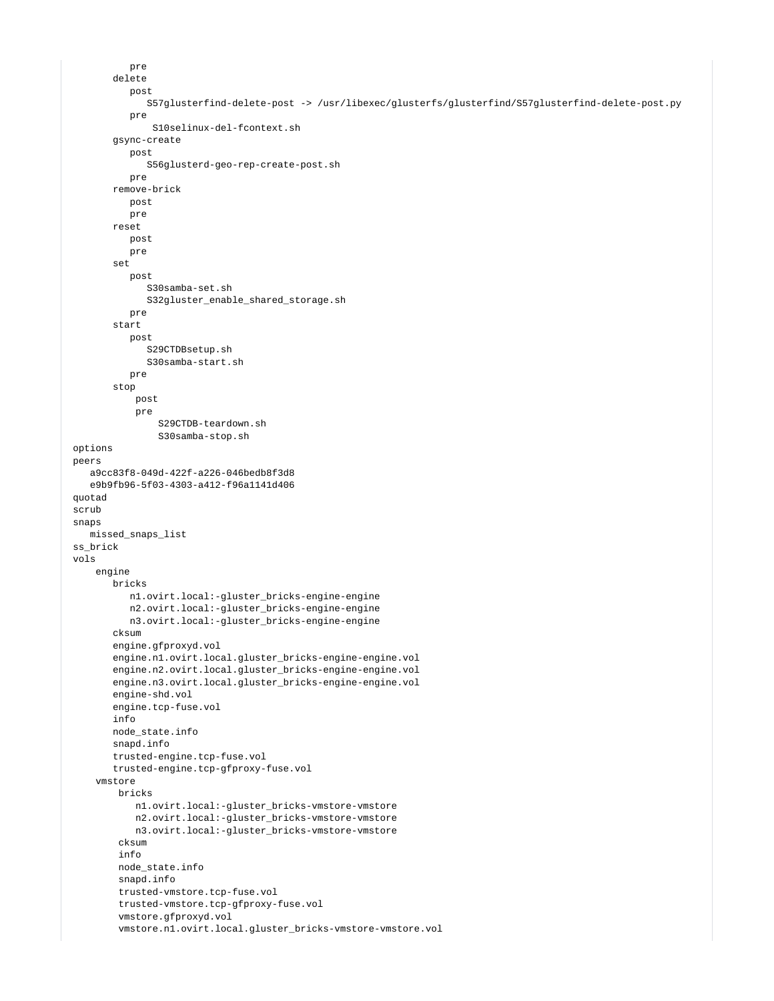```
 pre
        delete
           post
               S57glusterfind-delete-post -> /usr/libexec/glusterfs/glusterfind/S57glusterfind-delete-post.py
           pre
                S10selinux-del-fcontext.sh
        gsync-create
           post
              S56glusterd-geo-rep-create-post.sh
           pre
        remove-brick
           post
           pre
        reset
           post
           pre
        set
           post
              S30samba-set.sh
              S32gluster_enable_shared_storage.sh
           pre
        start
           post
              S29CTDBsetup.sh
              S30samba-start.sh
           pre
        stop
            post
            pre
                 S29CTDB-teardown.sh
                S30samba-stop.sh
 options
 peers
    a9cc83f8-049d-422f-a226-046bedb8f3d8
    e9b9fb96-5f03-4303-a412-f96a1141d406
 quotad
 scrub
 snaps
    missed_snaps_list
 ss_brick
 vols
     engine
        bricks
           n1.ovirt.local:-gluster_bricks-engine-engine
           n2.ovirt.local:-gluster_bricks-engine-engine
           n3.ovirt.local:-gluster_bricks-engine-engine
        cksum
        engine.gfproxyd.vol
       engine.n1.ovirt.local.gluster bricks-engine-engine.vol
        engine.n2.ovirt.local.gluster_bricks-engine-engine.vol
        engine.n3.ovirt.local.gluster_bricks-engine-engine.vol
        engine-shd.vol
        engine.tcp-fuse.vol
        info
        node_state.info
        snapd.info
        trusted-engine.tcp-fuse.vol
        trusted-engine.tcp-gfproxy-fuse.vol
     vmstore
         bricks
            n1.ovirt.local:-gluster_bricks-vmstore-vmstore
            n2.ovirt.local:-gluster_bricks-vmstore-vmstore
            n3.ovirt.local:-gluster_bricks-vmstore-vmstore
         cksum
         info
         node_state.info
         snapd.info
         trusted-vmstore.tcp-fuse.vol
         trusted-vmstore.tcp-gfproxy-fuse.vol
         vmstore.gfproxyd.vol
         vmstore.n1.ovirt.local.gluster_bricks-vmstore-vmstore.vol
```